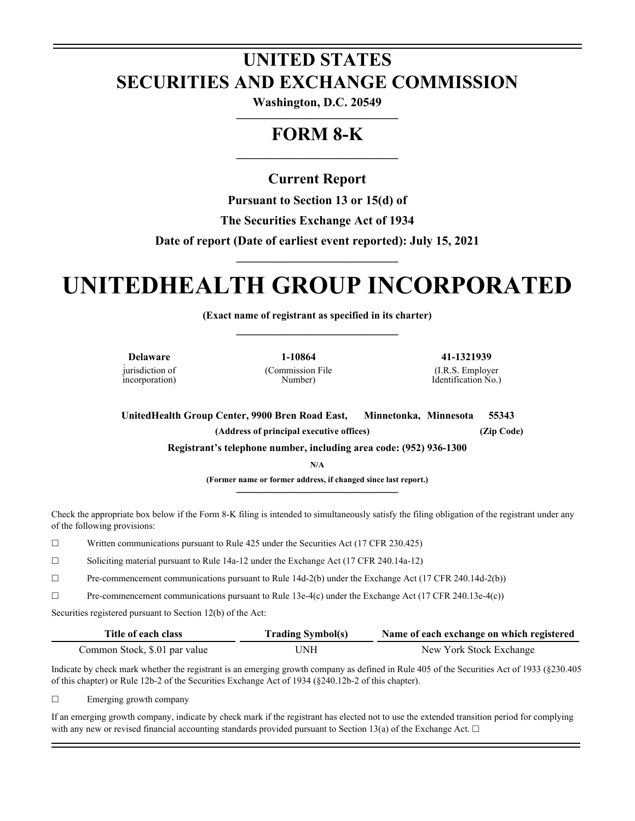## **UNITED STATES SECURITIES AND EXCHANGE COMMISSION**

**Washington, D.C. 20549 —————————————**

## **FORM 8-K**

**—————————————**

### **Current Report**

**Pursuant to Section 13 or 15(d) of** 

**The Securities Exchange Act of 1934** 

**Date of report (Date of earliest event reported): July 15, 2021**

# **UNITEDHEALTH GROUP INCORPORATED**

**—————————————**

**(Exact name of registrant as specified in its charter) —————————————**

**Delaware 1-10864 41-1321939** jurisdiction of incorporation)

(Commission File Number)

(I.R.S. Employer Identification No.)

**UnitedHealth Group Center, 9900 Bren Road East, Minnetonka, Minnesota 55343 (Address of principal executive offices) (Zip Code) Registrant's telephone number, including area code: (952) 936-1300**

**N/A**

**(Former name or former address, if changed since last report.) —————————————**

Check the appropriate box below if the Form 8-K filing is intended to simultaneously satisfy the filing obligation of the registrant under any of the following provisions:

☐ Written communications pursuant to Rule 425 under the Securities Act (17 CFR 230.425)

 $\Box$  Soliciting material pursuant to Rule 14a-12 under the Exchange Act (17 CFR 240.14a-12)

☐ Pre-commencement communications pursuant to Rule 14d-2(b) under the Exchange Act (17 CFR 240.14d-2(b))

 $\Box$  Pre-commencement communications pursuant to Rule 13e-4(c) under the Exchange Act (17 CFR 240.13e-4(c))

Securities registered pursuant to Section 12(b) of the Act:

| Title of each class           | <b>Trading Symbol(s)</b> | Name of each exchange on which registered |
|-------------------------------|--------------------------|-------------------------------------------|
| Common Stock, \$.01 par value | UNH                      | New York Stock Exchange                   |

Indicate by check mark whether the registrant is an emerging growth company as defined in Rule 405 of the Securities Act of 1933 (§230.405 of this chapter) or Rule 12b-2 of the Securities Exchange Act of 1934 (§240.12b-2 of this chapter).

 $\Box$  Emerging growth company

If an emerging growth company, indicate by check mark if the registrant has elected not to use the extended transition period for complying with any new or revised financial accounting standards provided pursuant to Section 13(a) of the Exchange Act.  $\Box$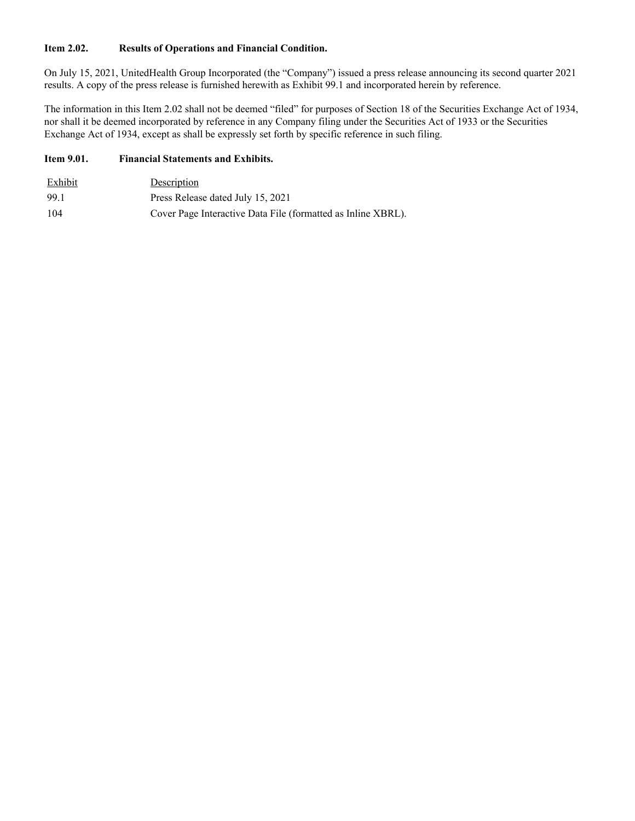#### **Item 2.02. Results of Operations and Financial Condition.**

On July 15, 2021, UnitedHealth Group Incorporated (the "Company") issued a press release announcing its second quarter 2021 results. A copy of the press release is furnished herewith as Exhibit 99.1 and incorporated herein by reference.

The information in this Item 2.02 shall not be deemed "filed" for purposes of Section 18 of the Securities Exchange Act of 1934, nor shall it be deemed incorporated by reference in any Company filing under the Securities Act of 1933 or the Securities Exchange Act of 1934, except as shall be expressly set forth by specific reference in such filing.

#### **Item 9.01. Financial Statements and Exhibits.**

| Exhibit | Description                                                  |
|---------|--------------------------------------------------------------|
| 99.1    | Press Release dated July 15, 2021                            |
| 104     | Cover Page Interactive Data File (formatted as Inline XBRL). |